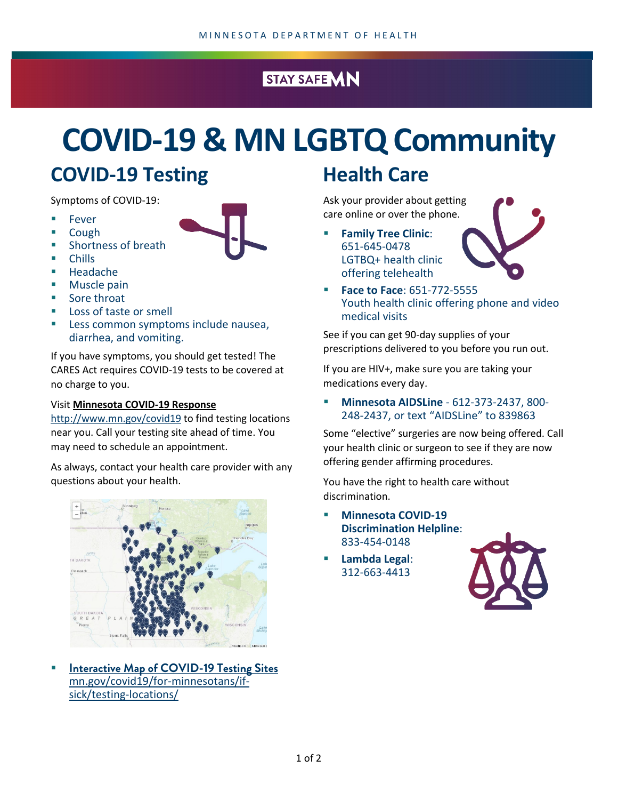#### STAY SAFE MN

# **COVID-19 & MN LGBTQ Community**

#### **COVID-19 Testing**

Symptoms of COVID-19:

- Fever
- Cough
- Shortness of breath
- Chills
- Headache
- Muscle pain
- Sore throat
- Loss of taste or smell
- Less common symptoms include nausea, diarrhea, and vomiting.

If you have symptoms, you should get tested! The CARES Act requires COVID-19 tests to be covered at no charge to you.

#### Visit **[Minnesota COVID-19 Response](http://www.mn.gov/covid19)**

<http://www.mn.gov/covid19> to find testing locations near you. Call your testing site ahead of time. You may need to schedule an appointment.

As always, contact your health care provider with any questions about your health.



 **[Interactive Map of COVID-19 Testing Sites](https://mn.gov/covid19/for-minnesotans/if-sick/testing-locations/)**  [mn.gov/covid19/for-minnesotans/if](https://mn.gov/covid19/for-minnesotans/if-sick/testing-locations/)[sick/testing-locations/](https://mn.gov/covid19/for-minnesotans/if-sick/testing-locations/)

#### **Health Care**

Ask your provider about getting care online or over the phone.

 **Family Tree Clinic**: 651-645-0478 LGTBQ+ health clinic offering telehealth



 **Face to Face**: 651-772-5555 Youth health clinic offering phone and video medical visits

See if you can get 90-day supplies of your prescriptions delivered to you before you run out.

If you are HIV+, make sure you are taking your medications every day.

 **Minnesota AIDSLine** - 612-373-2437, 800- 248-2437, or text "AIDSLine" to 839863

Some "elective" surgeries are now being offered. Call your health clinic or surgeon to see if they are now offering gender affirming procedures.

You have the right to health care without discrimination.

- **Minnesota COVID-19 Discrimination Helpline**: 833-454-0148
- **Lambda Legal**: 312-663-4413